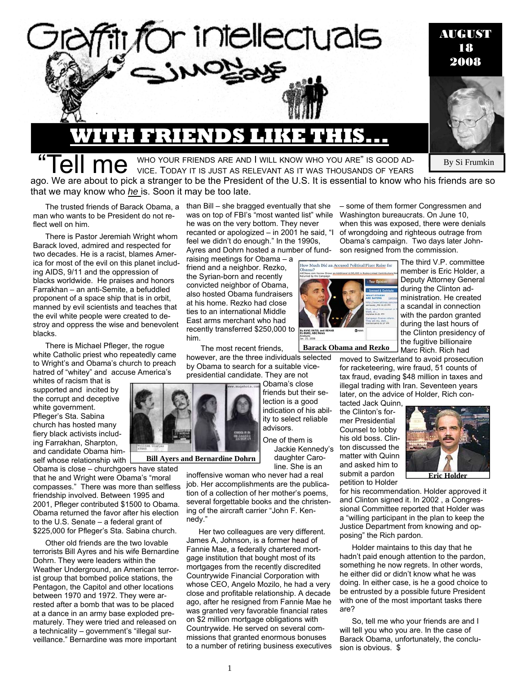

**"Tell me** WHO YOUR FRIENDS ARE AND I WILL KNOW WHO YOU ARE" IS GOOD AD-<br>WHO YOUR FRIENDS ARE AND I WILL KNOW WHO YOU ARE" IS GOOD AD-

ago. We are about to pick a stranger to be the President of the U.S. It is essential to know who his friends are so that we may know who *he* is. Soon it may be too late.

man who wants to be President do not reflect well on him.

There is Pastor Jeremiah Wright whom Barack loved, admired and respected for two decades. He is a racist, blames America for most of the evil on this planet including AIDS, 9/11 and the oppression of blacks worldwide. He praises and honors Farrakhan – an anti-Semite, a befuddled proponent of a space ship that is in orbit, manned by evil scientists and teaches that the evil white people were created to destroy and oppress the wise and benevolent blacks.

There is Michael Pfleger, the rogue white Catholic priest who repeatedly came to Wright's and Obama's church to preach hatred of "whitey" and accuse America's

whites of racism that is supported and incited by the corrupt and deceptive white government. Pfleger's Sta. Sabina church has hosted many fiery black activists including Farrakhan, Sharpton, and candidate Obama himself whose relationship with

Obama is close – churchgoers have stated that he and Wright were Obama's "moral compasses." There was more than selfless friendship involved. Between 1995 and 2001, Pfleger contributed \$1500 to Obama. Obama returned the favor after his election to the U.S. Senate – a federal grant of \$225,000 for Pfleger's Sta. Sabina church.

Other old friends are the two lovable terrorists Bill Ayres and his wife Bernardine Dohrn. They were leaders within the Weather Underground, an American terrorist group that bombed police stations, the Pentagon, the Capitol and other locations between 1970 and 1972. They were arrested after a bomb that was to be placed at a dance in an army base exploded prematurely. They were tried and released on a technicality – government's "illegal surveillance." Bernardine was more important

The trusted friends of Barack Obama, a than Bill – she bragged eventually that she was on top of FBI's "most wanted list" while he was on the very bottom. They never recanted or apologized – in 2001 he said, "I feel we didn't do enough." In the 1990s, Ayres and Dohrn hosted a number of fund-

> raising meetings for Obama – a friend and a neighbor. Rezko, the Syrian-born and recently convicted neighbor of Obama, also hosted Obama fundraisers at his home. Rezko had close ties to an international Middle East arms merchant who had recently transferred \$250,000 to him.

The most recent friends,

however, are the three individuals selected by Obama to search for a suitable vicepresidential candidate. They are not

> Obama's close friends but their selection is a good indication of his ability to select reliable advisors.

One of them is Jackie Kennedy's daughter Caro-

line. She is an

**Bill Ayers and Bernardine Dohrn** 

inoffensive woman who never had a real job. Her accomplishments are the publication of a collection of her mother's poems, several forgettable books and the christening of the aircraft carrier "John F. Kennedy."

Her two colleagues are very different. James A, Johnson, is a former head of Fannie Mae, a federally chartered mortgage institution that bought most of its mortgages from the recently discredited Countrywide Financial Corporation with whose CEO, Angelo Mozilo, he had a very close and profitable relationship. A decade ago, after he resigned from Fannie Mae he was granted very favorable financial rates on \$2 million mortgage obligations with Countrywide. He served on several commissions that granted enormous bonuses to a number of retiring business executives

1

– some of them former Congressmen and Washington bureaucrats. On June 10, when this was exposed, there were denials of wrongdoing and righteous outrage from Obama's campaign. Two days later Johnson resigned from the commission.

> The third V.P. committee member is Eric Holder, a

By Si Frumkin



w Much Did an Accused Political Fixer Raise for snal \$100,000 in Repla-Linked Con

**Barack Obama and Rezko**

Marc Rich. Rich had moved to Switzerland to avoid prosecution for racketeering, wire fraud, 51 counts of tax fraud, evading \$48 million in taxes and illegal trading with Iran. Seventeen years later, on the advice of Holder, Rich con-

tacted Jack Quinn, the Clinton's former Presidential Counsel to lobby his old boss. Clinton discussed the matter with Quinn and asked him to submit a pardon petition to Holder



for his recommendation. Holder approved it and Clinton signed it. In 2002 , a Congressional Committee reported that Holder was a "willing participant in the plan to keep the Justice Department from knowing and opposing" the Rich pardon.

Holder maintains to this day that he hadn't paid enough attention to the pardon, something he now regrets. In other words, he either did or didn't know what he was doing. In either case, is he a good choice to be entrusted by a possible future President with one of the most important tasks there are?

So, tell me who your friends are and I will tell you who you are. In the case of Barack Obama, unfortunately, the conclusion is obvious. \$



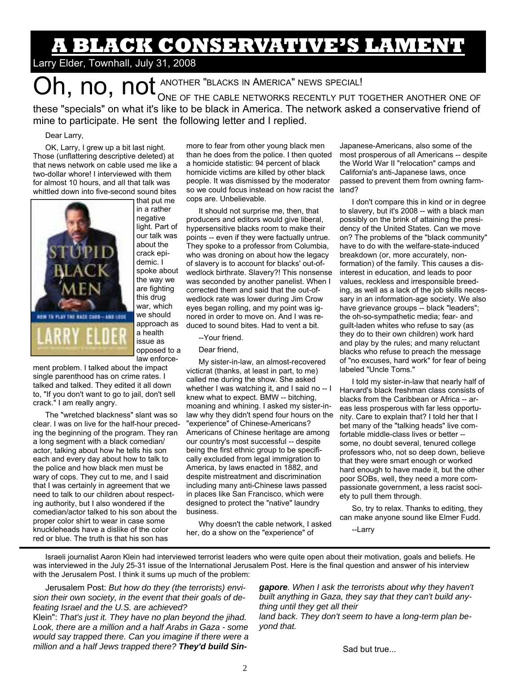# **A BLACK CONSERVATIVE'S LAMENT**

### Larry Elder, Townhall, July 31, 2008

Oh, no, not ANOTHER "BLACKS IN AMERICA" NEWS SPECIAL! ONE OF THE CABLE NETWORKS RECENTLY PUT TOGETHER ANOTHER ONE OF these "specials" on what it's like to be black in America. The network asked a conservative friend of

mine to participate. He sent the following letter and I replied.

#### Dear Larry,

OK, Larry, I grew up a bit last night. Those (unflattering descriptive deleted) at that news network on cable used me like a two-dollar whore! I interviewed with them for almost 10 hours, and all that talk was whittled down into five-second sound bites



that put me in a rather negative light. Part of our talk was about the crack epidemic. I spoke about the way we are fighting this drug war, which we should approach as a health issue as opposed to a law enforce-

ment problem. I talked about the impact single parenthood has on crime rates. I talked and talked. They edited it all down to, "If you don't want to go to jail, don't sell crack." I am really angry.

The "wretched blackness" slant was so clear. I was on live for the half-hour preceding the beginning of the program. They ran a long segment with a black comedian/ actor, talking about how he tells his son each and every day about how to talk to the police and how black men must be wary of cops. They cut to me, and I said that I was certainly in agreement that we need to talk to our children about respecting authority, but I also wondered if the comedian/actor talked to his son about the proper color shirt to wear in case some knuckleheads have a dislike of the color red or blue. The truth is that his son has

more to fear from other young black men than he does from the police. I then quoted a homicide statistic: 94 percent of black homicide victims are killed by other black people. It was dismissed by the moderator so we could focus instead on how racist the cops are. Unbelievable.

It should not surprise me, then, that producers and editors would give liberal, hypersensitive blacks room to make their points -- even if they were factually untrue. They spoke to a professor from Columbia, who was droning on about how the legacy of slavery is to account for blacks' out-ofwedlock birthrate. Slavery?! This nonsense was seconded by another panelist. When I corrected them and said that the out-ofwedlock rate was lower during Jim Crow eyes began rolling, and my point was ignored in order to move on. And I was reduced to sound bites. Had to vent a bit.

#### --Your friend.

#### Dear friend,

My sister-in-law, an almost-recovered victicrat (thanks, at least in part, to me) called me during the show. She asked whether I was watching it, and I said no -- I knew what to expect. BMW -- bitching, moaning and whining. I asked my sister-inlaw why they didn't spend four hours on the "experience" of Chinese-Americans? Americans of Chinese heritage are among our country's most successful -- despite being the first ethnic group to be specifically excluded from legal immigration to America, by laws enacted in 1882, and despite mistreatment and discrimination including many anti-Chinese laws passed in places like San Francisco, which were designed to protect the "native" laundry business.

Why doesn't the cable network, I asked her, do a show on the "experience" of

Japanese-Americans, also some of the most prosperous of all Americans -- despite the World War II "relocation" camps and California's anti-Japanese laws, once passed to prevent them from owning farmland?

I don't compare this in kind or in degree to slavery, but it's 2008 -- with a black man possibly on the brink of attaining the presidency of the United States. Can we move on? The problems of the "black community" have to do with the welfare-state-induced breakdown (or, more accurately, nonformation) of the family. This causes a disinterest in education, and leads to poor values, reckless and irresponsible breeding, as well as a lack of the job skills necessary in an information-age society. We also have grievance groups -- black "leaders"; the oh-so-sympathetic media; fear- and guilt-laden whites who refuse to say (as they do to their own children) work hard and play by the rules; and many reluctant blacks who refuse to preach the message of "no excuses, hard work" for fear of being labeled "Uncle Toms."

I told my sister-in-law that nearly half of Harvard's black freshman class consists of blacks from the Caribbean or Africa -- areas less prosperous with far less opportunity. Care to explain that? I told her that I bet many of the "talking heads" live comfortable middle-class lives or better - some, no doubt several, tenured college professors who, not so deep down, believe that they were smart enough or worked hard enough to have made it, but the other poor SOBs, well, they need a more compassionate government, a less racist society to pull them through.

So, try to relax. Thanks to editing, they can make anyone sound like Elmer Fudd. --Larry

Israeli journalist Aaron Klein had interviewed terrorist leaders who were quite open about their motivation, goals and beliefs. He was interviewed in the July 25-31 issue of the International Jerusalem Post. Here is the final question and answer of his interview with the Jerusalem Post. I think it sums up much of the problem:

Jerusalem Post: *But how do they (the terrorists) envision their own society, in the event that their goals of defeating Israel and the U.S. are achieved?*  Klein": *That's just it. They have no plan beyond the jihad. Look, there are a million and a half Arabs in Gaza - some would say trapped there. Can you imagine if there were a million and a half Jews trapped there? They'd build Sin-*

*gapore. When I ask the terrorists about why they haven't built anything in Gaza, they say that they can't build anything until they get all their land back. They don't seem to have a long-term plan beyond that.* 

Sad but true...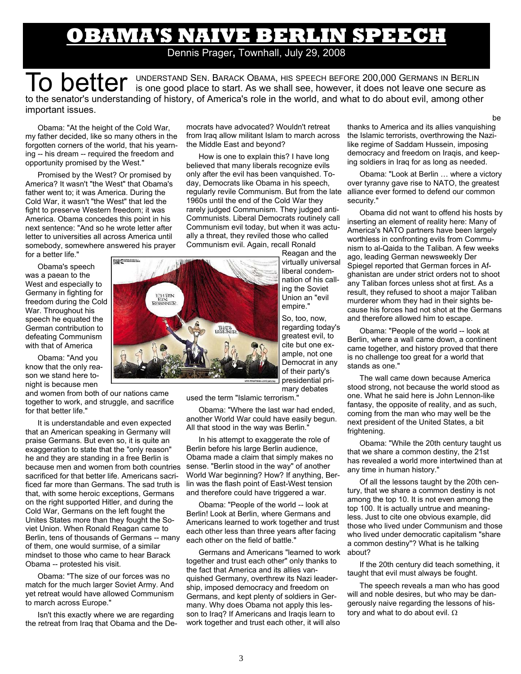## **OBAMA'S NAIVE BERLIN SPEECH**

### Dennis Prager**,** Townhall, July 29, 2008

To better UNDERSTAND SEN. BARACK OBAMA, HIS SPEECH BEFORE 200,000 GERMANS IN BERLIN is one good place to start. As we shall see, however, it does not leave one secure as to the senator's understanding of history, of America's role in the world, and what to do about evil, among other important issues.

Obama: "At the height of the Cold War, my father decided, like so many others in the forgotten corners of the world, that his yearning -- his dream -- required the freedom and opportunity promised by the West."

Promised by the West? Or promised by America? It wasn't "the West" that Obama's father went to; it was America. During the Cold War, it wasn't "the West" that led the fight to preserve Western freedom; it was America. Obama concedes this point in his next sentence: "And so he wrote letter after letter to universities all across America until somebody, somewhere answered his prayer for a better life."

Obama's speech was a paean to the West and especially to Germany in fighting for freedom during the Cold War. Throughout his speech he equated the German contribution to defeating Communism with that of America

Obama: "And you know that the only reason we stand here tonight is because men

and women from both of our nations came together to work, and struggle, and sacrifice for that better life."

It is understandable and even expected that an American speaking in Germany will praise Germans. But even so, it is quite an exaggeration to state that the "only reason" he and they are standing in a free Berlin is because men and women from both countries sacrificed for that better life. Americans sacrificed far more than Germans. The sad truth is that, with some heroic exceptions, Germans on the right supported Hitler, and during the Cold War, Germans on the left fought the Unites States more than they fought the Soviet Union. When Ronald Reagan came to Berlin, tens of thousands of Germans -- many of them, one would surmise, of a similar mindset to those who came to hear Barack Obama -- protested his visit.

Obama: "The size of our forces was no match for the much larger Soviet Army. And yet retreat would have allowed Communism to march across Europe."

Isn't this exactly where we are regarding the retreat from Iraq that Obama and the Democrats have advocated? Wouldn't retreat from Iraq allow militant Islam to march across the Middle East and beyond?

How is one to explain this? I have long believed that many liberals recognize evils only after the evil has been vanquished. Today, Democrats like Obama in his speech, regularly revile Communism. But from the late alliance ever formed to defend our common 1960s until the end of the Cold War they rarely judged Communism. They judged anti-Communists. Liberal Democrats routinely call Communism evil today, but when it was actually a threat, they reviled those who called Communism evil. Again, recall Ronald

Reagan and the virtually universal liberal condemnation of his calling the Soviet Union an "evil empire."

So, too, now, regarding today's greatest evil, to cite but one example, not one Democrat in any of their party's presidential primary debates

used the term "Islamic terrorism."

Obama: "Where the last war had ended, another World War could have easily begun. All that stood in the way was Berlin."

In his attempt to exaggerate the role of Berlin before his large Berlin audience, Obama made a claim that simply makes no sense. "Berlin stood in the way" of another World War beginning? How? If anything, Berlin was the flash point of East-West tension and therefore could have triggered a war.

Obama: "People of the world -- look at Berlin! Look at Berlin, where Germans and Americans learned to work together and trust each other less than three years after facing each other on the field of battle."

Germans and Americans "learned to work together and trust each other" only thanks to the fact that America and its allies vanquished Germany, overthrew its Nazi leadership, imposed democracy and freedom on Germans, and kept plenty of soldiers in Germany. Why does Obama not apply this lesson to Iraq? If Americans and Iraqis learn to work together and trust each other, it will also

thanks to America and its allies vanquishing the Islamic terrorists, overthrowing the Nazilike regime of Saddam Hussein, imposing democracy and freedom on Iraqis, and keeping soldiers in Iraq for as long as needed.

be

Obama: "Look at Berlin … where a victory over tyranny gave rise to NATO, the greatest security."

Obama did not want to offend his hosts by inserting an element of reality here: Many of America's NATO partners have been largely worthless in confronting evils from Communism to al-Qaida to the Taliban. A few weeks ago, leading German newsweekly Der Spiegel reported that German forces in Afghanistan are under strict orders not to shoot any Taliban forces unless shot at first. As a result, they refused to shoot a major Taliban murderer whom they had in their sights because his forces had not shot at the Germans and therefore allowed him to escape.

Obama: "People of the world -- look at Berlin, where a wall came down, a continent came together, and history proved that there is no challenge too great for a world that stands as one."

The wall came down because America stood strong, not because the world stood as one. What he said here is John Lennon-like fantasy, the opposite of reality, and as such, coming from the man who may well be the next president of the United States, a bit frightening.

Obama: "While the 20th century taught us that we share a common destiny, the 21st has revealed a world more intertwined than at any time in human history."

Of all the lessons taught by the 20th century, that we share a common destiny is not among the top 10. It is not even among the top 100. It is actually untrue and meaningless. Just to cite one obvious example, did those who lived under Communism and those who lived under democratic capitalism "share a common destiny"? What is he talking about?

If the 20th century did teach something, it taught that evil must always be fought.

The speech reveals a man who has good will and noble desires, but who may be dangerously naive regarding the lessons of history and what to do about evil. Ω



3